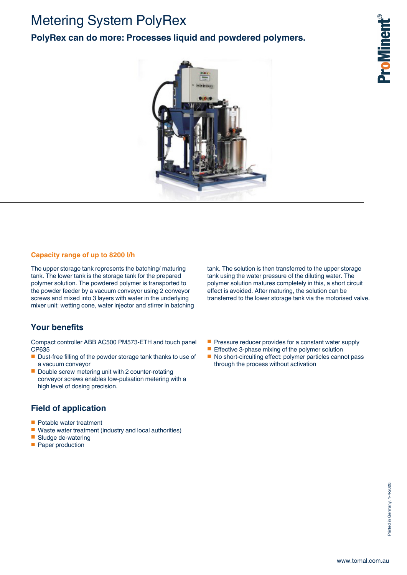# Metering System PolyRex

### **PolyRex can do more: Processes liquid and powdered polymers.**



#### **Capacity range of up to 8200 l/h**

The upper storage tank represents the batching/ maturing tank. The lower tank is the storage tank for the prepared polymer solution. The powdered polymer is transported to the powder feeder by a vacuum conveyor using 2 conveyor screws and mixed into 3 layers with water in the underlying mixer unit; wetting cone, water injector and stirrer in batching

#### **Your benefits**

Compact controller ABB AC500 PM573-ETH and touch panel CP635

- Dust-free filling of the powder storage tank thanks to use of a vacuum conveyor
- Double screw metering unit with 2 counter-rotating conveyor screws enables low-pulsation metering with a high level of dosing precision.

#### **Field of application**

- Potable water treatment
- Waste water treatment (industry and local authorities)
- Sludge de-watering
- Paper production

tank. The solution is then transferred to the upper storage tank using the water pressure of the diluting water. The polymer solution matures completely in this, a short circuit effect is avoided. After maturing, the solution can be transferred to the lower storage tank via the motorised valve.

- Pressure reducer provides for a constant water supply
- Effective 3-phase mixing of the polymer solution
- No short-circuiting effect: polymer particles cannot pass through the process without activation